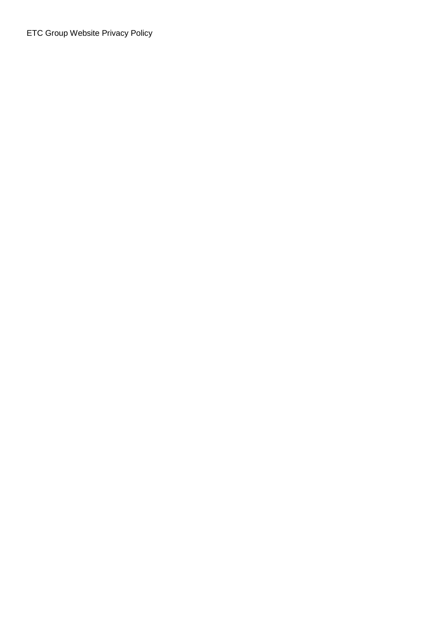ETC Group Website Privacy Policy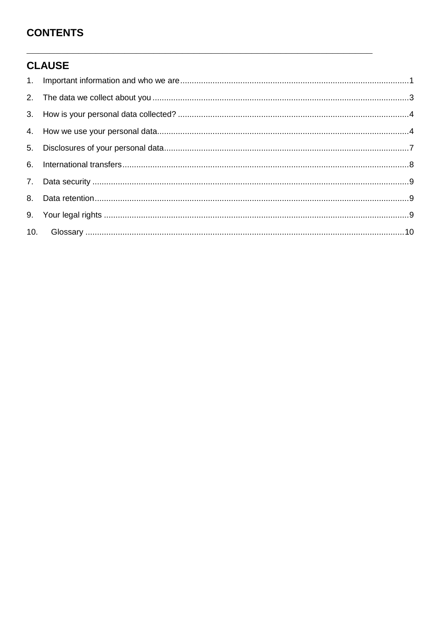# **CONTENTS**

# **CLAUSE**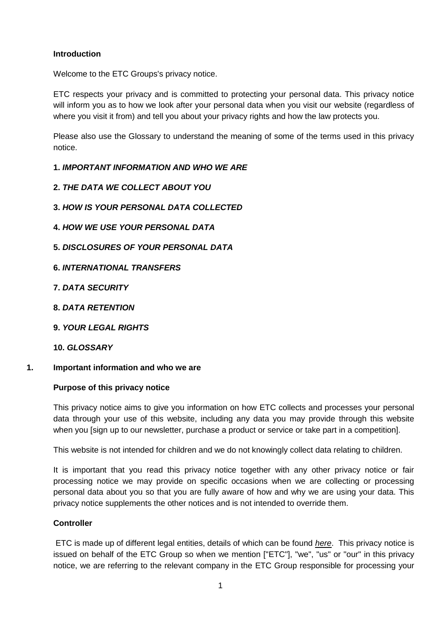## **Introduction**

Welcome to the ETC Groups's privacy notice.

ETC respects your privacy and is committed to protecting your personal data. This privacy notice will inform you as to how we look after your personal data when you visit our website (regardless of where you visit it from) and tell you about your privacy rights and how the law protects you.

Please also use the Glossary to understand the meaning of some of the terms used in this privacy notice.

- **1.** *IMPORTANT INFORMATION AND WHO WE ARE*
- **2.** *THE DATA WE COLLECT ABOUT YOU*
- **3.** *HOW IS YOUR PERSONAL DATA COLLECTED*
- **4.** *HOW WE USE YOUR PERSONAL DATA*
- **5.** *DISCLOSURES OF YOUR PERSONAL DATA*
- **6.** *INTERNATIONAL TRANSFERS*
- **7.** *DATA SECURITY*
- **8.** *DATA RETENTION*
- **9.** *YOUR LEGAL RIGHTS*
- <span id="page-2-0"></span>**10.** *GLOSSARY*

## **1. Important information and who we are**

## **Purpose of this privacy notice**

This privacy notice aims to give you information on how ETC collects and processes your personal data through your use of this website, including any data you may provide through this website when you [sign up to our newsletter, purchase a product or service or take part in a competition].

This website is not intended for children and we do not knowingly collect data relating to children.

It is important that you read this privacy notice together with any other privacy notice or fair processing notice we may provide on specific occasions when we are collecting or processing personal data about you so that you are fully aware of how and why we are using your data. This privacy notice supplements the other notices and is not intended to override them.

## **Controller**

ETC is made up of different legal entities, details of which can be found *[here](https://www.enritec.com/en/about-us/where-we-are-located/)*. This privacy notice is issued on behalf of the ETC Group so when we mention ["ETC"], "we", "us" or "our" in this privacy notice, we are referring to the relevant company in the ETC Group responsible for processing your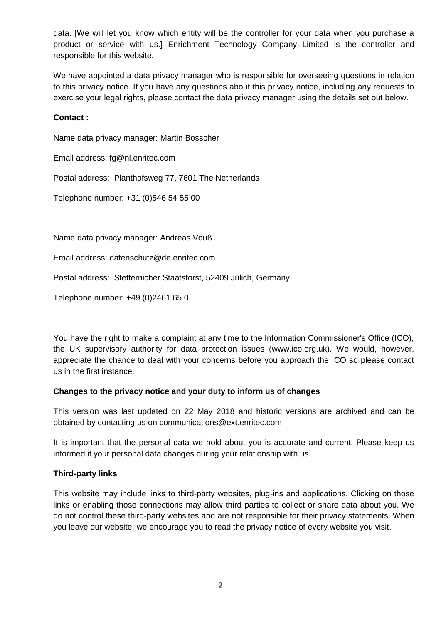data. [We will let you know which entity will be the controller for your data when you purchase a product or service with us.] Enrichment Technology Company Limited is the controller and responsible for this website.

We have appointed a data privacy manager who is responsible for overseeing questions in relation to this privacy notice. If you have any questions about this privacy notice, including any requests to exercise your legal rights, please contact the data privacy manager using the details set out below.

## <span id="page-3-0"></span>**Contact :**

Name data privacy manager: Martin Bosscher

Email address: fg@nl.enritec.com

Postal address: Planthofsweg 77, 7601 The Netherlands

Telephone number: +31 (0)546 54 55 00

Name data privacy manager: Andreas Vouß

Email address: datenschutz@de.enritec.com

Postal address: Stetternicher Staatsforst, 52409 Jülich, Germany

Telephone number: +49 (0)2461 65 0

You have the right to make a complaint at any time to the Information Commissioner's Office (ICO), the UK supervisory authority for data protection issues (www.ico.org.uk). We would, however, appreciate the chance to deal with your concerns before you approach the ICO so please contact us in the first instance.

## **Changes to the privacy notice and your duty to inform us of changes**

This version was last updated on 22 May 2018 and historic versions are archived and can be obtained by contacting us on communications@ext.enritec.com

It is important that the personal data we hold about you is accurate and current. Please keep us informed if your personal data changes during your relationship with us.

## **Third-party links**

This website may include links to third-party websites, plug-ins and applications. Clicking on those links or enabling those connections may allow third parties to collect or share data about you. We do not control these third-party websites and are not responsible for their privacy statements. When you leave our website, we encourage you to read the privacy notice of every website you visit.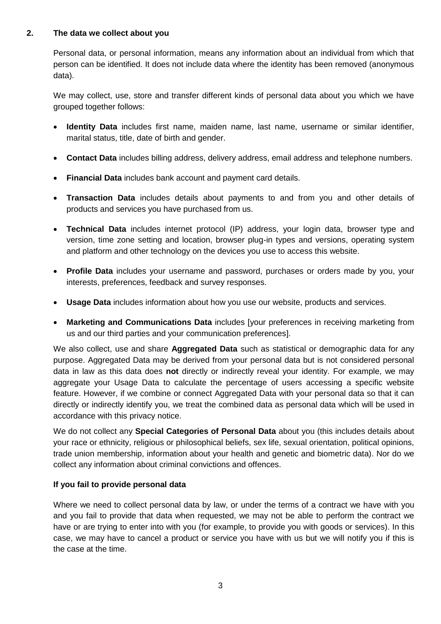## **2. The data we collect about you**

<span id="page-4-0"></span>Personal data, or personal information, means any information about an individual from which that person can be identified. It does not include data where the identity has been removed (anonymous data).

We may collect, use, store and transfer different kinds of personal data about you which we have grouped together follows:

- **Identity Data** includes first name, maiden name, last name, username or similar identifier, marital status, title, date of birth and gender.
- **Contact Data** includes billing address, delivery address, email address and telephone numbers.
- **Financial Data** includes bank account and payment card details.
- **Transaction Data** includes details about payments to and from you and other details of products and services you have purchased from us.
- **Technical Data** includes internet protocol (IP) address, your login data, browser type and version, time zone setting and location, browser plug-in types and versions, operating system and platform and other technology on the devices you use to access this website.
- **Profile Data** includes your username and password, purchases or orders made by you, your interests, preferences, feedback and survey responses.
- **Usage Data** includes information about how you use our website, products and services.
- **Marketing and Communications Data** includes [your preferences in receiving marketing from us and our third parties and your communication preferences].

We also collect, use and share **Aggregated Data** such as statistical or demographic data for any purpose. Aggregated Data may be derived from your personal data but is not considered personal data in law as this data does **not** directly or indirectly reveal your identity. For example, we may aggregate your Usage Data to calculate the percentage of users accessing a specific website feature. However, if we combine or connect Aggregated Data with your personal data so that it can directly or indirectly identify you, we treat the combined data as personal data which will be used in accordance with this privacy notice.

We do not collect any **Special Categories of Personal Data** about you (this includes details about your race or ethnicity, religious or philosophical beliefs, sex life, sexual orientation, political opinions, trade union membership, information about your health and genetic and biometric data). Nor do we collect any information about criminal convictions and offences.

## **If you fail to provide personal data**

Where we need to collect personal data by law, or under the terms of a contract we have with you and you fail to provide that data when requested, we may not be able to perform the contract we have or are trying to enter into with you (for example, to provide you with goods or services). In this case, we may have to cancel a product or service you have with us but we will notify you if this is the case at the time.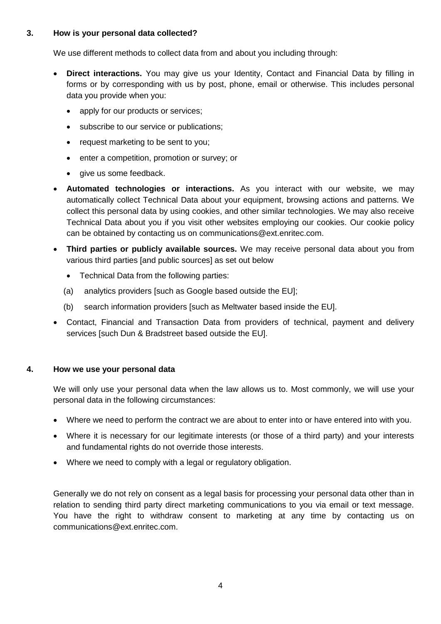## **3. How is your personal data collected?**

<span id="page-5-0"></span>We use different methods to collect data from and about you including through:

- **Direct interactions.** You may give us your Identity, Contact and Financial Data by filling in forms or by corresponding with us by post, phone, email or otherwise. This includes personal data you provide when you:
	- apply for our products or services;
	- subscribe to our service or publications;
	- request marketing to be sent to you;
	- enter a competition, promotion or survey; or
	- give us some feedback.
- **Automated technologies or interactions.** As you interact with our website, we may automatically collect Technical Data about your equipment, browsing actions and patterns. We collect this personal data by using cookies, and other similar technologies. We may also receive Technical Data about you if you visit other websites employing our cookies. Our cookie policy can be obtained by contacting us on communications@ext.enritec.com.
- **Third parties or publicly available sources.** We may receive personal data about you from various third parties [and public sources] as set out below
	- Technical Data from the following parties:
	- (a) analytics providers [such as Google based outside the EU];
	- (b) search information providers [such as Meltwater based inside the EU].
- Contact, Financial and Transaction Data from providers of technical, payment and delivery services [such Dun & Bradstreet based outside the EU].

## **4. How we use your personal data**

<span id="page-5-1"></span>We will only use your personal data when the law allows us to. Most commonly, we will use your personal data in the following circumstances:

- Where we need to perform the contract we are about to enter into or have entered into with you.
- Where it is necessary for our legitimate interests (or those of a third party) and your interests and fundamental rights do not override those interests.
- Where we need to comply with a legal or regulatory obligation.

Generally we do not rely on consent as a legal basis for processing your personal data other than in relation to sending third party direct marketing communications to you via email or text message. You have the right to withdraw consent to marketing at any time by contacting us on communications@ext.enritec.com.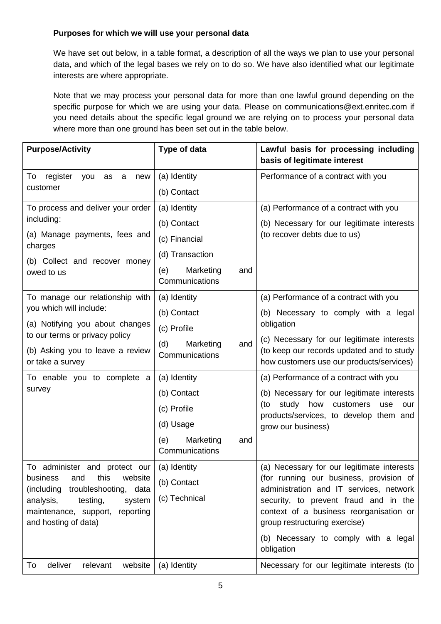## **Purposes for which we will use your personal data**

We have set out below, in a table format, a description of all the ways we plan to use your personal data, and which of the legal bases we rely on to do so. We have also identified what our legitimate interests are where appropriate.

Note that we may process your personal data for more than one lawful ground depending on the specific purpose for which we are using your data. Please on communications@ext.enritec.com if you need details about the specific legal ground we are relying on to process your personal data where more than one ground has been set out in the table below.

| <b>Purpose/Activity</b>                                                                                                                                                                                                                                                                                                                                                        | Type of data                                                                                                                                                                                                            | Lawful basis for processing including<br>basis of legitimate interest                                                                                                                                                                                                                                                                                                                                 |
|--------------------------------------------------------------------------------------------------------------------------------------------------------------------------------------------------------------------------------------------------------------------------------------------------------------------------------------------------------------------------------|-------------------------------------------------------------------------------------------------------------------------------------------------------------------------------------------------------------------------|-------------------------------------------------------------------------------------------------------------------------------------------------------------------------------------------------------------------------------------------------------------------------------------------------------------------------------------------------------------------------------------------------------|
| register<br>To<br>you<br>as<br>a<br>new<br>customer                                                                                                                                                                                                                                                                                                                            | (a) Identity<br>(b) Contact                                                                                                                                                                                             | Performance of a contract with you                                                                                                                                                                                                                                                                                                                                                                    |
| To process and deliver your order<br>including:<br>(a) Manage payments, fees and<br>charges<br>(b) Collect and recover money<br>owed to us<br>To manage our relationship with<br>you which will include:<br>(a) Notifying you about changes<br>to our terms or privacy policy<br>(b) Asking you to leave a review<br>or take a survey<br>To enable you to complete a<br>survey | (a) Identity<br>(b) Contact<br>(c) Financial<br>(d) Transaction<br>(e)<br>Marketing<br>and<br>Communications<br>(a) Identity<br>(b) Contact<br>(c) Profile<br>(d)<br>Marketing<br>and<br>Communications<br>(a) Identity | (a) Performance of a contract with you<br>(b) Necessary for our legitimate interests<br>(to recover debts due to us)<br>(a) Performance of a contract with you<br>(b) Necessary to comply with a legal<br>obligation<br>(c) Necessary for our legitimate interests<br>(to keep our records updated and to study<br>how customers use our products/services)<br>(a) Performance of a contract with you |
| To administer and protect our                                                                                                                                                                                                                                                                                                                                                  | (b) Contact<br>(c) Profile<br>(d) Usage<br>(e)<br>Marketing<br>and<br>Communications<br>(a) Identity                                                                                                                    | (b) Necessary for our legitimate interests<br>study<br>how<br>customers<br>(to<br>use<br>our<br>products/services, to develop them and<br>grow our business)<br>(a) Necessary for our legitimate interests                                                                                                                                                                                            |
| this<br>and<br>website<br>business<br>troubleshooting,<br>(including)<br>data<br>analysis,<br>testing,<br>system<br>maintenance, support,<br>reporting<br>and hosting of data)<br>deliver<br>relevant<br>website<br>To                                                                                                                                                         | (b) Contact<br>(c) Technical<br>(a) Identity                                                                                                                                                                            | (for running our business, provision of<br>administration and IT services, network<br>security, to prevent fraud and in the<br>context of a business reorganisation or<br>group restructuring exercise)<br>(b) Necessary to comply with a legal<br>obligation<br>Necessary for our legitimate interests (to                                                                                           |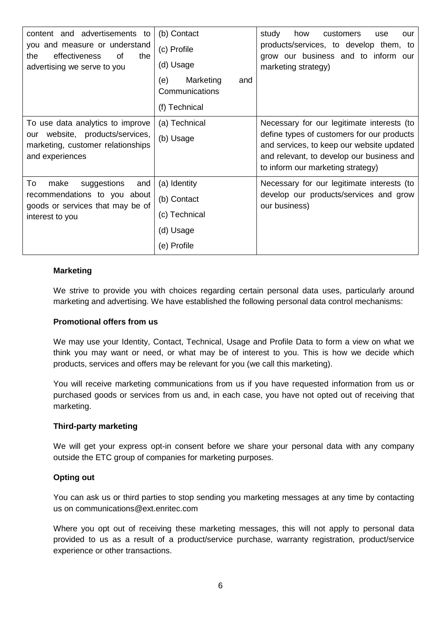| content and advertisements to<br>you and measure or understand<br>effectiveness<br>the<br>the<br>of<br>advertising we serve to you | (b) Contact<br>(c) Profile<br>(d) Usage<br>Marketing<br>(e)<br>and<br>Communications<br>(f) Technical | study<br>how<br>customers<br>use<br>our<br>products/services, to develop them, to<br>grow our business and to inform our<br>marketing strategy)                                                                         |
|------------------------------------------------------------------------------------------------------------------------------------|-------------------------------------------------------------------------------------------------------|-------------------------------------------------------------------------------------------------------------------------------------------------------------------------------------------------------------------------|
| To use data analytics to improve<br>website, products/services,<br>our<br>marketing, customer relationships<br>and experiences     | (a) Technical<br>(b) Usage                                                                            | Necessary for our legitimate interests (to<br>define types of customers for our products<br>and services, to keep our website updated<br>and relevant, to develop our business and<br>to inform our marketing strategy) |
| To<br>make<br>suggestions<br>and<br>recommendations to you about<br>goods or services that may be of<br>interest to you            | (a) Identity<br>(b) Contact<br>(c) Technical<br>(d) Usage<br>(e) Profile                              | Necessary for our legitimate interests (to<br>develop our products/services and grow<br>our business)                                                                                                                   |

## **Marketing**

We strive to provide you with choices regarding certain personal data uses, particularly around marketing and advertising. We have established the following personal data control mechanisms:

## **Promotional offers from us**

We may use your Identity, Contact, Technical, Usage and Profile Data to form a view on what we think you may want or need, or what may be of interest to you. This is how we decide which products, services and offers may be relevant for you (we call this marketing).

You will receive marketing communications from us if you have requested information from us or purchased goods or services from us and, in each case, you have not opted out of receiving that marketing.

## **Third-party marketing**

We will get your express opt-in consent before we share your personal data with any company outside the ETC group of companies for marketing purposes.

## **Opting out**

You can ask us or third parties to stop sending you marketing messages at any time by contacting us on communications@ext.enritec.com

Where you opt out of receiving these marketing messages, this will not apply to personal data provided to us as a result of a product/service purchase, warranty registration, product/service experience or other transactions.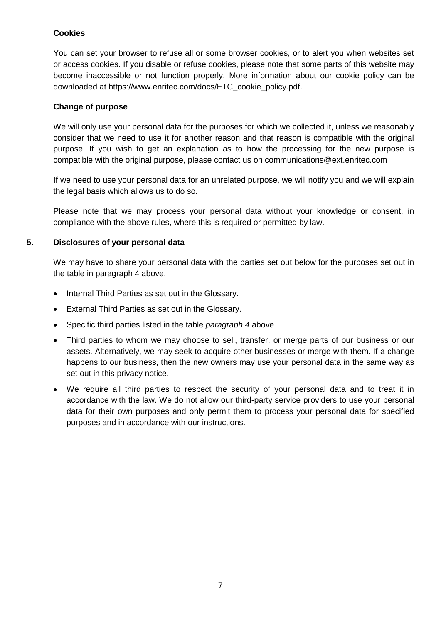# **Cookies**

You can set your browser to refuse all or some browser cookies, or to alert you when websites set or access cookies. If you disable or refuse cookies, please note that some parts of this website may become inaccessible or not function properly. More information about our cookie policy can be downloaded at https://www.enritec.com/docs/ETC\_cookie\_policy.pdf.

## **Change of purpose**

We will only use your personal data for the purposes for which we collected it, unless we reasonably consider that we need to use it for another reason and that reason is compatible with the original purpose. If you wish to get an explanation as to how the processing for the new purpose is compatible with the original purpose, please contact us on communications@ext.enritec.com

If we need to use your personal data for an unrelated purpose, we will notify you and we will explain the legal basis which allows us to do so.

Please note that we may process your personal data without your knowledge or consent, in compliance with the above rules, where this is required or permitted by law.

## **5. Disclosures of your personal data**

<span id="page-8-0"></span>We may have to share your personal data with the parties set out below for the purposes set out in the table in paragraph 4 above.

- Internal Third Parties as set out in the Glossary.
- External Third Parties as set out in the Glossary.
- Specific third parties listed in the table *paragraph 4* above
- Third parties to whom we may choose to sell, transfer, or merge parts of our business or our assets. Alternatively, we may seek to acquire other businesses or merge with them. If a change happens to our business, then the new owners may use your personal data in the same way as set out in this privacy notice.
- We require all third parties to respect the security of your personal data and to treat it in accordance with the law. We do not allow our third-party service providers to use your personal data for their own purposes and only permit them to process your personal data for specified purposes and in accordance with our instructions.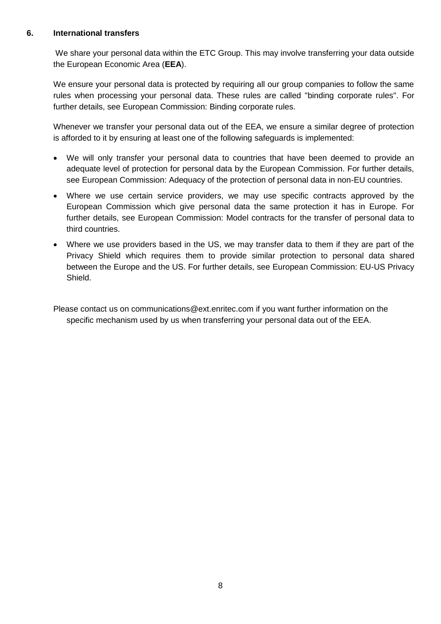## **6. International transfers**

<span id="page-9-0"></span>We share your personal data within the ETC Group. This may involve transferring your data outside the European Economic Area (**EEA**).

We ensure your personal data is protected by requiring all our group companies to follow the same rules when processing your personal data. These rules are called "binding corporate rules". For further details, see European Commission: Binding corporate rules.

Whenever we transfer your personal data out of the EEA, we ensure a similar degree of protection is afforded to it by ensuring at least one of the following safeguards is implemented:

- We will only transfer your personal data to countries that have been deemed to provide an adequate level of protection for personal data by the European Commission. For further details, see European Commission: Adequacy of the protection of personal data in non-EU countries.
- Where we use certain service providers, we may use specific contracts approved by the European Commission which give personal data the same protection it has in Europe. For further details, see European Commission: Model contracts for the transfer of personal data to third countries.
- Where we use providers based in the US, we may transfer data to them if they are part of the Privacy Shield which requires them to provide similar protection to personal data shared between the Europe and the US. For further details, see European Commission: EU-US Privacy Shield.

Please contact us on communications@ext.enritec.com if you want further information on the specific mechanism used by us when transferring your personal data out of the EEA.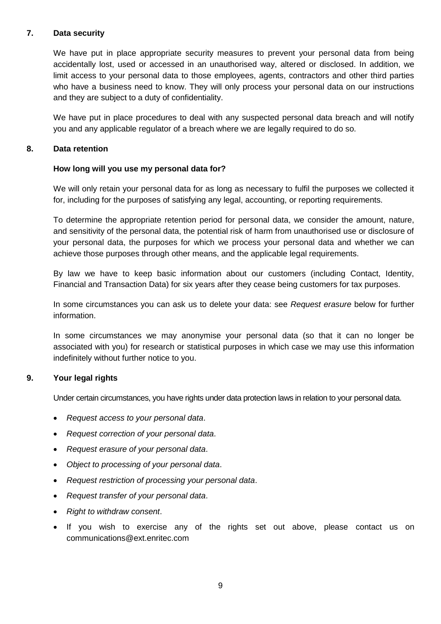## **7. Data security**

<span id="page-10-0"></span>We have put in place appropriate security measures to prevent your personal data from being accidentally lost, used or accessed in an unauthorised way, altered or disclosed. In addition, we limit access to your personal data to those employees, agents, contractors and other third parties who have a business need to know. They will only process your personal data on our instructions and they are subject to a duty of confidentiality.

We have put in place procedures to deal with any suspected personal data breach and will notify you and any applicable regulator of a breach where we are legally required to do so.

## **8. Data retention**

## <span id="page-10-1"></span>**How long will you use my personal data for?**

We will only retain your personal data for as long as necessary to fulfil the purposes we collected it for, including for the purposes of satisfying any legal, accounting, or reporting requirements.

To determine the appropriate retention period for personal data, we consider the amount, nature, and sensitivity of the personal data, the potential risk of harm from unauthorised use or disclosure of your personal data, the purposes for which we process your personal data and whether we can achieve those purposes through other means, and the applicable legal requirements.

By law we have to keep basic information about our customers (including Contact, Identity, Financial and Transaction Data) for six years after they cease being customers for tax purposes.

In some circumstances you can ask us to delete your data: see *Request erasure* below for further information.

In some circumstances we may anonymise your personal data (so that it can no longer be associated with you) for research or statistical purposes in which case we may use this information indefinitely without further notice to you.

## **9. Your legal rights**

<span id="page-10-2"></span>Under certain circumstances, you have rights under data protection laws in relation to your personal data.

- *Request access to your personal data*.
- *Request correction of your personal data*.
- *Request erasure of your personal data*.
- *Object to processing of your personal data*.
- *Request restriction of processing your personal data*.
- *Request transfer of your personal data*.
- *Right to withdraw consent*.
- If you wish to exercise any of the rights set out above, please contact us on communications@ext.enritec.com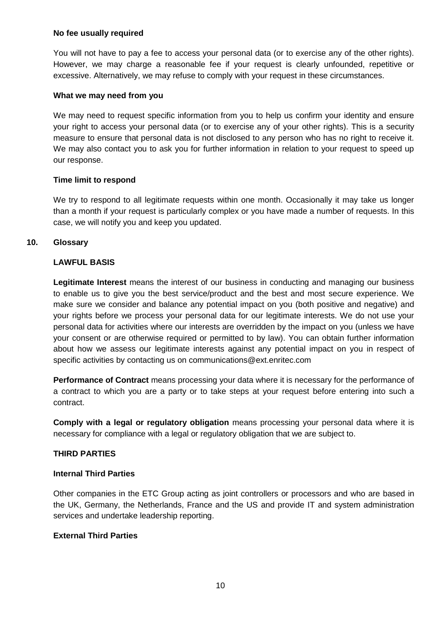## **No fee usually required**

You will not have to pay a fee to access your personal data (or to exercise any of the other rights). However, we may charge a reasonable fee if your request is clearly unfounded, repetitive or excessive. Alternatively, we may refuse to comply with your request in these circumstances.

## **What we may need from you**

We may need to request specific information from you to help us confirm your identity and ensure your right to access your personal data (or to exercise any of your other rights). This is a security measure to ensure that personal data is not disclosed to any person who has no right to receive it. We may also contact you to ask you for further information in relation to your request to speed up our response.

## **Time limit to respond**

We try to respond to all legitimate requests within one month. Occasionally it may take us longer than a month if your request is particularly complex or you have made a number of requests. In this case, we will notify you and keep you updated.

## **10. Glossary**

## <span id="page-11-0"></span>**LAWFUL BASIS**

**Legitimate Interest** means the interest of our business in conducting and managing our business to enable us to give you the best service/product and the best and most secure experience. We make sure we consider and balance any potential impact on you (both positive and negative) and your rights before we process your personal data for our legitimate interests. We do not use your personal data for activities where our interests are overridden by the impact on you (unless we have your consent or are otherwise required or permitted to by law). You can obtain further information about how we assess our legitimate interests against any potential impact on you in respect of specific activities by [contacting](#page-3-0) us on communications@ext.enritec.com

**Performance of Contract** means processing your data where it is necessary for the performance of a contract to which you are a party or to take steps at your request before entering into such a contract.

**Comply with a legal or regulatory obligation** means processing your personal data where it is necessary for compliance with a legal or regulatory obligation that we are subject to.

## **THIRD PARTIES**

## **Internal Third Parties**

Other companies in the ETC Group acting as joint controllers or processors and who are based in the UK, Germany, the Netherlands, France and the US and provide IT and system administration services and undertake leadership reporting.

## **External Third Parties**